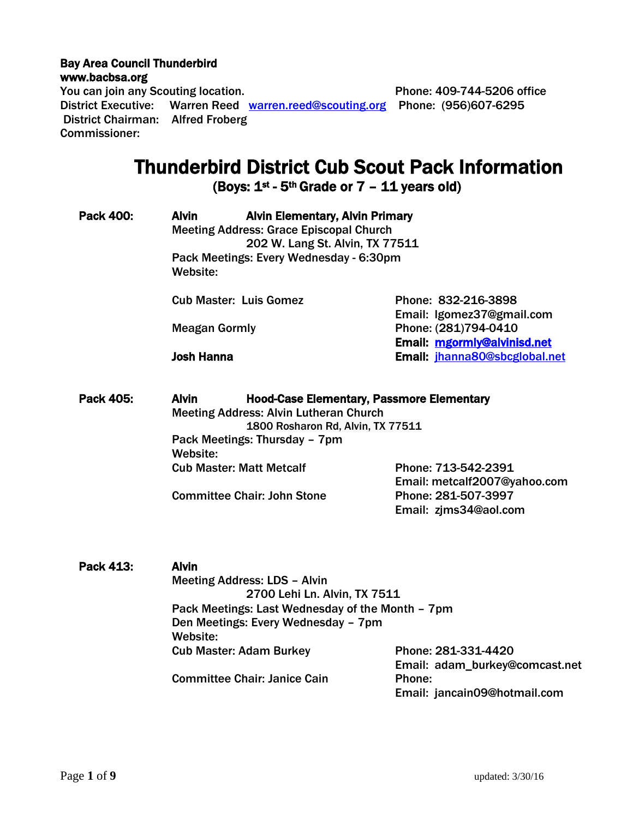#### Bay Area Council Thunderbird [www.bacbsa.org](http://www.bacbsa.org/)

You can join any Scouting location. The Second School of Phone: 409-744-5206 office District Executive: Warren Reed [warren.reed@scouting.org](mailto:warren.reed@scouting.org) Phone: (956)607-6295 District Chairman: Alfred Froberg Commissioner:

# Thunderbird District Cub Scout Pack Information

(Boys:  $1^{st}$  - 5<sup>th</sup> Grade or  $7 - 11$  years old)

| <b>Pack 400:</b> | <b>Alvin</b><br><b>Alvin Elementary, Alvin Primary</b><br><b>Meeting Address: Grace Episcopal Church</b><br>202 W. Lang St. Alvin, TX 77511<br>Pack Meetings: Every Wednesday - 6:30pm<br>Website:  |                                                       |  |
|------------------|-----------------------------------------------------------------------------------------------------------------------------------------------------------------------------------------------------|-------------------------------------------------------|--|
|                  | <b>Cub Master: Luis Gomez</b>                                                                                                                                                                       | Phone: 832-216-3898<br>Email: Igomez37@gmail.com      |  |
|                  | <b>Meagan Gormly</b>                                                                                                                                                                                | Phone: (281)794-0410<br>Email: mgormly@alvinisd.net   |  |
|                  | <b>Josh Hanna</b>                                                                                                                                                                                   | Email: jhanna80@sbcglobal.net                         |  |
| Pack 405:        | <b>Alvin</b><br><b>Hood-Case Elementary, Passmore Elementary</b><br><b>Meeting Address: Alvin Lutheran Church</b><br>1800 Rosharon Rd, Alvin, TX 77511<br>Pack Meetings: Thursday - 7pm<br>Website: |                                                       |  |
|                  | <b>Cub Master: Matt Metcalf</b>                                                                                                                                                                     | Phone: 713-542-2391<br>Email: metcalf2007@yahoo.com   |  |
|                  | <b>Committee Chair: John Stone</b>                                                                                                                                                                  | Phone: 281-507-3997<br>Email: zjms34@aol.com          |  |
| Pack 413:        | <b>Alvin</b><br><b>Meeting Address: LDS - Alvin</b><br>2700 Lehi Ln. Alvin, TX 7511                                                                                                                 |                                                       |  |
|                  | Pack Meetings: Last Wednesday of the Month - 7pm<br>Den Meetings: Every Wednesday - 7pm<br>Website:                                                                                                 |                                                       |  |
|                  | <b>Cub Master: Adam Burkey</b>                                                                                                                                                                      | Phone: 281-331-4420<br>Email: adam_burkey@comcast.net |  |
|                  | <b>Committee Chair: Janice Cain</b>                                                                                                                                                                 | Phone:<br>Email: jancain09@hotmail.com                |  |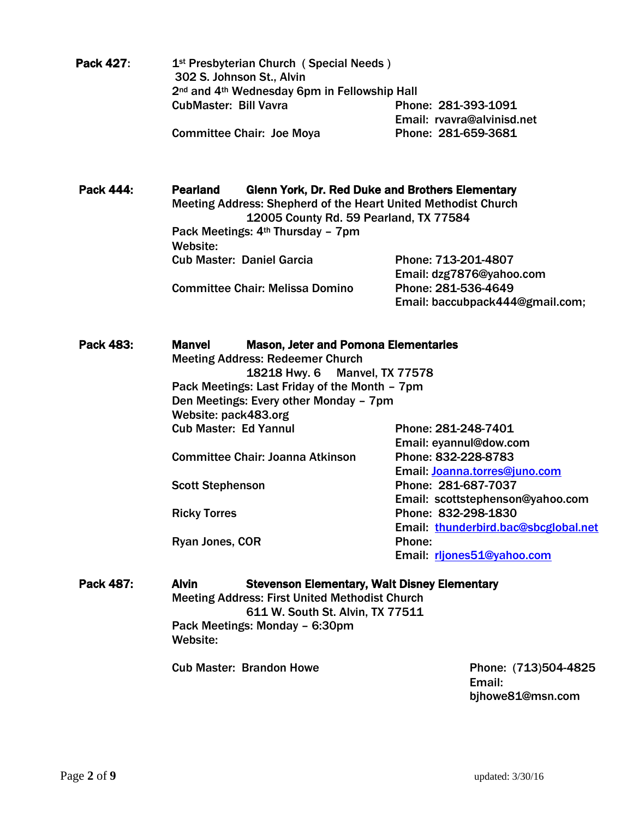| <b>Pack 427:</b> | 1 <sup>st</sup> Presbyterian Church (Special Needs)                  |                            |  |
|------------------|----------------------------------------------------------------------|----------------------------|--|
|                  | 302 S. Johnson St., Alvin                                            |                            |  |
|                  | 2 <sup>nd</sup> and 4 <sup>th</sup> Wednesday 6pm in Fellowship Hall |                            |  |
|                  | <b>CubMaster: Bill Vavra</b>                                         | Phone: 281-393-1091        |  |
|                  |                                                                      | Email: rvavra@alvinisd.net |  |
|                  | <b>Committee Chair: Joe Moya</b>                                     | Phone: 281-659-3681        |  |

Pack 444: Pearland Glenn York, Dr. Red Duke and Brothers Elementary Meeting Address: Shepherd of the Heart United Methodist Church 12005 County Rd. 59 Pearland, TX 77584 Pack Meetings: 4<sup>th</sup> Thursday - 7pm Website: Cub Master: Daniel Garcia Phone: 713-201-4807 Email: dzg7876@yahoo.com Committee Chair: Melissa Domino Phone: 281-536-4649 Email: baccubpack444@gmail.com;

| Pack 483: | <b>Manvel</b><br><b>Mason, Jeter and Pomona Elementaries</b>                            |                               |                                     |
|-----------|-----------------------------------------------------------------------------------------|-------------------------------|-------------------------------------|
|           | <b>Meeting Address: Redeemer Church</b>                                                 |                               |                                     |
|           |                                                                                         | 18218 Hwy. 6 Manvel, TX 77578 |                                     |
|           | Pack Meetings: Last Friday of the Month - 7pm<br>Den Meetings: Every other Monday - 7pm |                               |                                     |
|           |                                                                                         |                               |                                     |
|           | Website: pack483.org                                                                    |                               |                                     |
|           | <b>Cub Master: Ed Yannul</b>                                                            |                               | Phone: 281-248-7401                 |
|           |                                                                                         |                               | Email: eyannul@dow.com              |
|           | Committee Chair: Joanna Atkinson                                                        |                               | Phone: 832-228-8783                 |
|           |                                                                                         |                               | Email: Joanna.torres@juno.com       |
|           | <b>Scott Stephenson</b>                                                                 |                               | Phone: 281-687-7037                 |
|           |                                                                                         |                               | Email: scottstephenson@yahoo.com    |
|           | <b>Ricky Torres</b>                                                                     |                               | Phone: 832-298-1830                 |
|           |                                                                                         |                               | Email thunderbird.bac@sbcglobal.net |
|           | Ryan Jones, COR                                                                         |                               | Phone:                              |
|           |                                                                                         |                               | Email: rljones51@yahoo.com          |
|           |                                                                                         |                               |                                     |

Pack 487: Alvin Stevenson Elementary, Walt Disney Elementary Meeting Address: First United Methodist Church 611 W. South St. Alvin, TX 77511 Pack Meetings: Monday – 6:30pm Website:

Cub Master: Brandon Howe **Phone: (713)504-4825** 

Email: bjhowe81@msn.com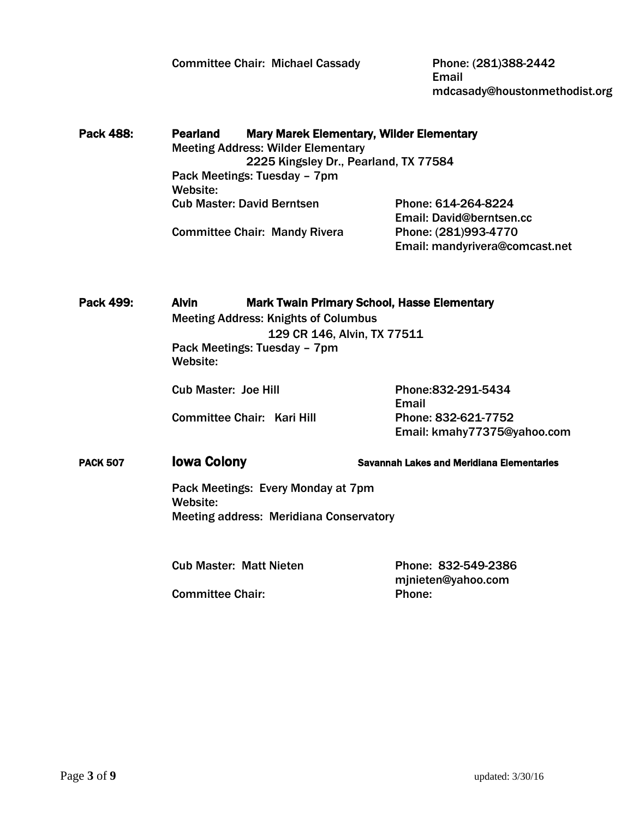Committee Chair: Michael Cassady Phone: (281)388-2442

Email mdcasady@houstonmethodist.org

Pack 488: Pearland Mary Marek Elementary, Wilder Elementary Meeting Address: Wilder Elementary 2225 Kingsley Dr., Pearland, TX 77584 Pack Meetings: Tuesday – 7pm Website: Cub Master: David Berntsen Phone: 614-264-8224 Email: David@berntsen.cc Committee Chair: Mandy Rivera Phone: (281)993-4770 Email: mandyrivera@comcast.net

Pack 499: Alvin Mark Twain Primary School, Hasse Elementary Meeting Address: Knights of Columbus 129 CR 146, Alvin, TX 77511 Pack Meetings: Tuesday – 7pm Website:

Committee Chair: Kari Hill Phone: 832-621-7752

Cub Master: Joe Hill Phone:832-291-5434 Email Email: kmahy77375@yahoo.com

PACK 507 **IOWA Colony IOWA Savannah Lakes and Meridiana Elementaries** 

 Pack Meetings: Every Monday at 7pm Website: Meeting address: Meridiana Conservatory

Cub Master: Matt Nieten Phone: 832-549-2386

mjnieten@yahoo.com Committee Chair: Phone: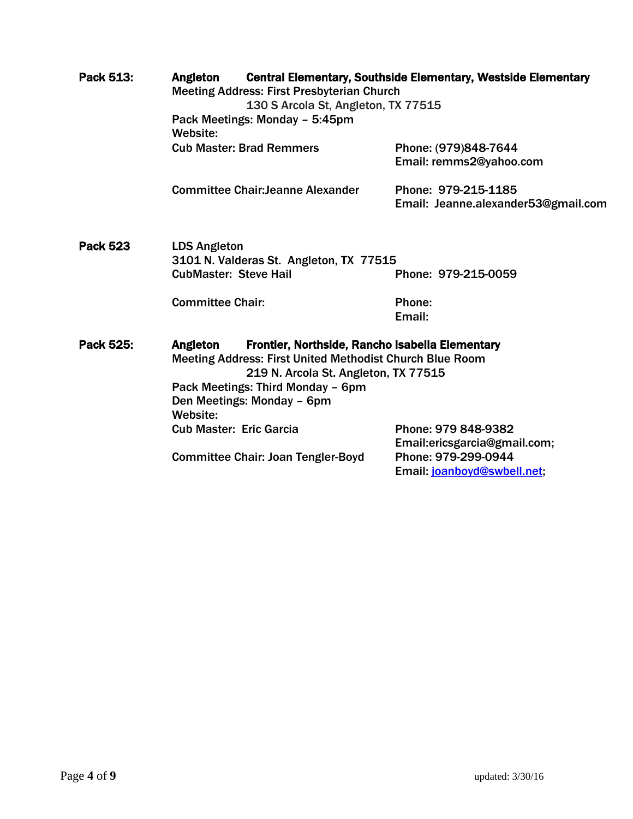| Pack 513:       | <b>Central Elementary, Southside Elementary, Westside Elementary</b><br>Angleton<br><b>Meeting Address: First Presbyterian Church</b><br>130 S Arcola St, Angleton, TX 77515<br>Pack Meetings: Monday - 5:45pm<br>Website:                            |                                           |                                                                                                           |
|-----------------|-------------------------------------------------------------------------------------------------------------------------------------------------------------------------------------------------------------------------------------------------------|-------------------------------------------|-----------------------------------------------------------------------------------------------------------|
|                 |                                                                                                                                                                                                                                                       | <b>Cub Master: Brad Remmers</b>           | Phone: (979)848-7644<br>Email: remms2@yahoo.com                                                           |
|                 |                                                                                                                                                                                                                                                       | <b>Committee Chair: Jeanne Alexander</b>  | Phone: 979-215-1185<br>Email: Jeanne.alexander53@gmail.com                                                |
| <b>Pack 523</b> | <b>LDS Angleton</b><br>3101 N. Valderas St. Angleton, TX 77515<br><b>CubMaster: Steve Hail</b><br>Phone: 979-215-0059                                                                                                                                 |                                           |                                                                                                           |
|                 | <b>Committee Chair:</b>                                                                                                                                                                                                                               |                                           | Phone:<br>Email:                                                                                          |
| Pack 525:       | Frontier, Northside, Rancho Isabella Elementary<br>Angleton<br><b>Meeting Address: First United Methodist Church Blue Room</b><br>219 N. Arcola St. Angleton, TX 77515<br>Pack Meetings: Third Monday - 6pm<br>Den Meetings: Monday - 6pm<br>Website: |                                           |                                                                                                           |
|                 | <b>Cub Master: Eric Garcia</b>                                                                                                                                                                                                                        | <b>Committee Chair: Joan Tengler-Boyd</b> | Phone: 979 848-9382<br>Email:ericsgarcia@gmail.com;<br>Phone: 979-299-0944<br>Email: joanboyd@swbell.net, |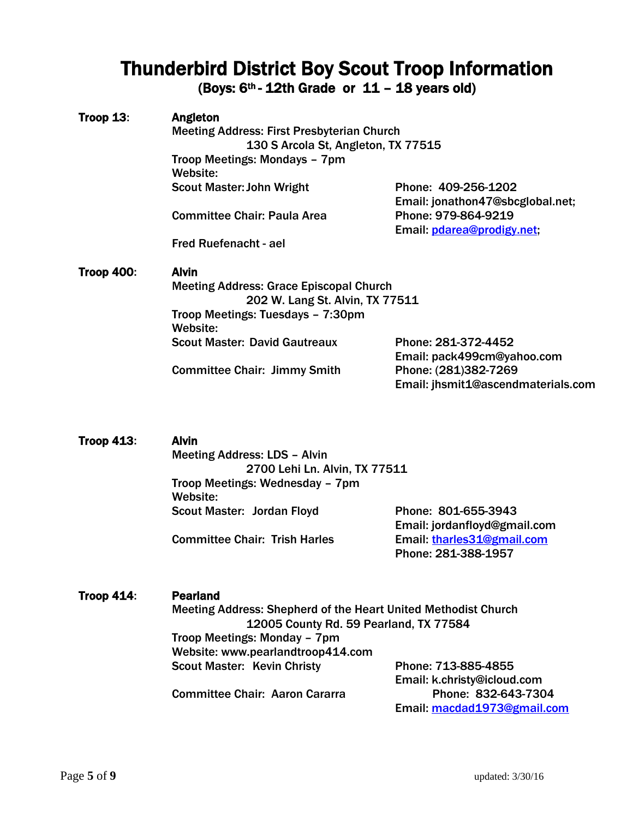# Thunderbird District Boy Scout Troop Information

(Boys:  $6<sup>th</sup>$ - 12th Grade or 11 – 18 years old)

## Troop 13: Angleton

Meeting Address: First Presbyterian Church 130 S Arcola St, Angleton, TX 77515 Troop Meetings: Mondays – 7pm Website: Scout Master: John Wright Phone: 409-256-1202

Committee Chair: Paula Area Phone: 979-864-9219

Email: jonathon47@sbcglobal.net; Email: [pdarea@prodigy.net;](mailto:pdarea@prodigy.net)

Fred Ruefenacht - ael

### Troop 400: Alvin

 Meeting Address: Grace Episcopal Church 202 W. Lang St. Alvin, TX 77511 Troop Meetings: Tuesdays – 7:30pm Website: Scout Master: David Gautreaux Phone: 281-372-4452

Committee Chair: Jimmy Smith Phone: (281)382-7269

Email: pack499cm@yahoo.com Email: jhsmit1@ascendmaterials.com

Troop 413: Alvin Meeting Address: LDS – Alvin 2700 Lehi Ln. Alvin, TX 77511 Troop Meetings: Wednesday – 7pm Website: Scout Master: Jordan Floyd Phone: 801-655-3943 Email: jordanfloyd@gmail.com Committee Chair: Trish Harles Email: [tharles31@gmail.com](mailto:tharles31@gmail.com)

#### Troop 414: Pearland

 Meeting Address: Shepherd of the Heart United Methodist Church 12005 County Rd. 59 Pearland, TX 77584 Troop Meetings: Monday – 7pm Website: www.pearlandtroop414.com Scout Master: Kevin Christy Phone: 713-885-4855 Email: k.christy@icloud.com Committee Chair: Aaron Cararra **Phone: 832-643-7304** 

Email: [macdad1973@gmail.com](mailto:macdad1973@gmail.com)

Phone: 281-388-1957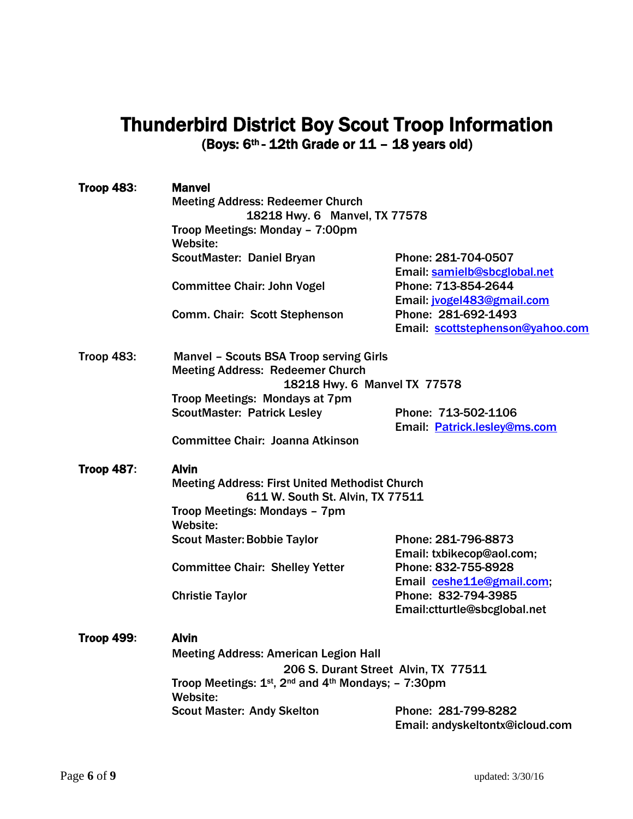## Thunderbird District Boy Scout Troop Information (Boys: 6th - 12th Grade or 11 – 18 years old)

| <b>Troop 483:</b> | <b>Manvel</b>                                                                             |                                  |  |  |
|-------------------|-------------------------------------------------------------------------------------------|----------------------------------|--|--|
|                   | <b>Meeting Address: Redeemer Church</b>                                                   |                                  |  |  |
|                   | 18218 Hwy. 6 Manvel, TX 77578                                                             |                                  |  |  |
|                   | Troop Meetings: Monday - 7:00pm                                                           |                                  |  |  |
|                   | Website:                                                                                  |                                  |  |  |
|                   | ScoutMaster: Daniel Bryan                                                                 | Phone: 281-704-0507              |  |  |
|                   |                                                                                           | Email: samielb@sbcglobal.net     |  |  |
|                   | <b>Committee Chair: John Vogel</b>                                                        | Phone: 713-854-2644              |  |  |
|                   |                                                                                           | Email: jvogel483@gmail.com       |  |  |
|                   | Comm. Chair: Scott Stephenson                                                             | Phone: 281-692-1493              |  |  |
|                   |                                                                                           | Email: scottstephenson@yahoo.com |  |  |
| <b>Troop 483:</b> | <b>Manvel - Scouts BSA Troop serving Girls</b>                                            |                                  |  |  |
|                   | <b>Meeting Address: Redeemer Church</b>                                                   |                                  |  |  |
|                   | 18218 Hwy. 6 Manvel TX 77578                                                              |                                  |  |  |
|                   | Troop Meetings: Mondays at 7pm                                                            |                                  |  |  |
|                   | <b>ScoutMaster: Patrick Lesley</b>                                                        | Phone: 713-502-1106              |  |  |
|                   |                                                                                           | Email: Patrick.lesley@ms.com     |  |  |
|                   | Committee Chair: Joanna Atkinson                                                          |                                  |  |  |
| <b>Troop 487:</b> | <b>Alvin</b>                                                                              |                                  |  |  |
|                   | <b>Meeting Address: First United Methodist Church</b><br>611 W. South St. Alvin, TX 77511 |                                  |  |  |
|                   | Troop Meetings: Mondays - 7pm                                                             |                                  |  |  |
|                   | Website:                                                                                  |                                  |  |  |
|                   | <b>Scout Master: Bobbie Taylor</b>                                                        | Phone: 281-796-8873              |  |  |
|                   |                                                                                           | Email: txbikecop@aol.com;        |  |  |
|                   | <b>Committee Chair: Shelley Yetter</b>                                                    | Phone: 832-755-8928              |  |  |
|                   |                                                                                           | Email ceshe11e@gmail.com,        |  |  |
|                   | <b>Christie Taylor</b>                                                                    | Phone: 832-794-3985              |  |  |
|                   |                                                                                           | Email:ctturtle@sbcglobal.net     |  |  |
| <b>Troop 499:</b> | <b>Alvin</b>                                                                              |                                  |  |  |
|                   | <b>Meeting Address: American Legion Hall</b>                                              |                                  |  |  |
|                   | 206 S. Durant Street Alvin, TX 77511                                                      |                                  |  |  |
|                   | Troop Meetings: 1st, 2nd and 4th Mondays; - 7:30pm                                        |                                  |  |  |
|                   | Website:                                                                                  |                                  |  |  |
|                   | <b>Scout Master: Andy Skelton</b>                                                         | Phone: 281-799-8282              |  |  |
|                   |                                                                                           | Email: andyskeltontx@icloud.com  |  |  |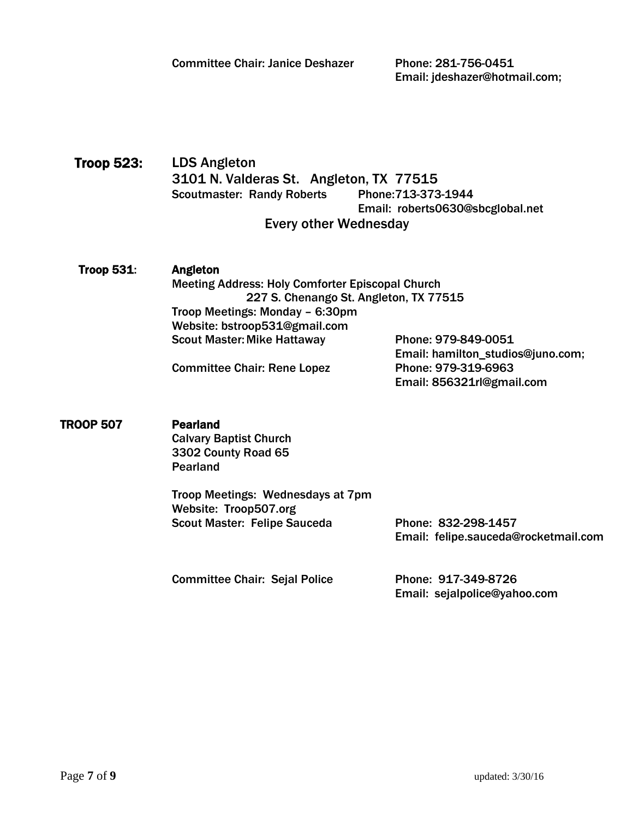Email: jdeshazer@hotmail.com;

 Troop 523: LDS Angleton 3101 N. Valderas St. Angleton, TX 77515 Scoutmaster: Randy Roberts Phone: 713-373-1944 Email: roberts0630@sbcglobal.net Every other Wednesday

### Troop 531: Angleton Meeting Address: Holy Comforter Episcopal Church 227 S. Chenango St. Angleton, TX 77515 Troop Meetings: Monday – 6:30pm Website: bstroop531@gmail.com Scout Master: Mike Hattaway Phone: 979-849-0051

Committee Chair: Rene Lopez Phone: 979-319-6963

Email: hamilton\_studios@juno.com; Email: 856321rl@gmail.com

### TROOP 507 Pearland

Calvary Baptist Church 3302 County Road 65 Pearland

Troop Meetings: Wednesdays at 7pm Website: Troop507.org Scout Master: Felipe Sauceda<br>
Phone: 832-298-1457

Email: felipe.sauceda@rocketmail.com

Committee Chair: Sejal Police Phone: 917-349-8726

Email: sejalpolice@yahoo.com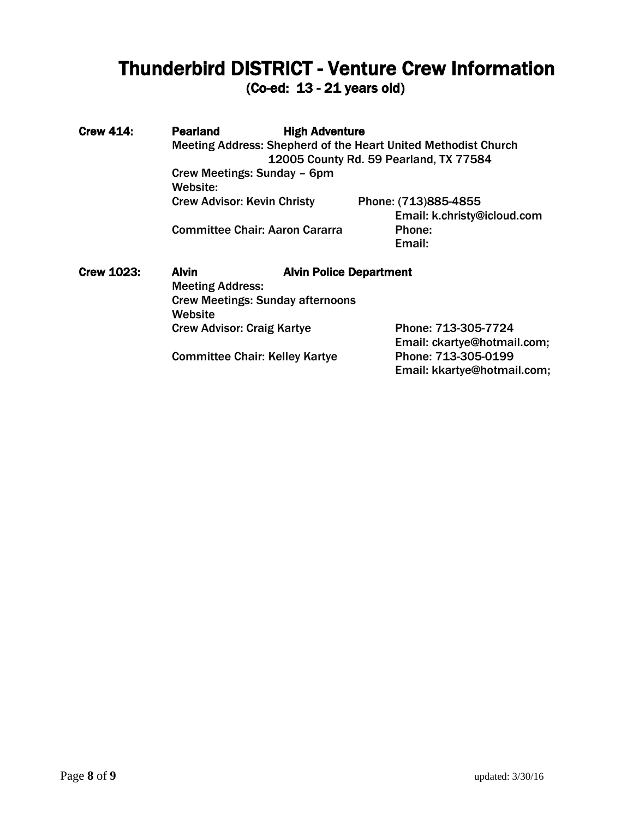# Thunderbird DISTRICT - Venture Crew Information

(Co-ed: 13 - 21 years old)

Crew 414: Pearland High Adventure Meeting Address: Shepherd of the Heart United Methodist Church 12005 County Rd. 59 Pearland, TX 77584 Crew Meetings: Sunday – 6pm Website: Crew Advisor: Kevin Christy Phone: (713)885-4855 Email: k.christy@icloud.com Committee Chair: Aaron Cararra Email: Crew 1023: Alvin Alvin Alvin Police Department Meeting Address: Crew Meetings: Sunday afternoons **Website** Crew Advisor: Craig Kartye Phone: 713-305-7724 Email: ckartye@hotmail.com; Committee Chair: Kelley Kartye Phone: 713-305-0199

Email: kkartye@hotmail.com;